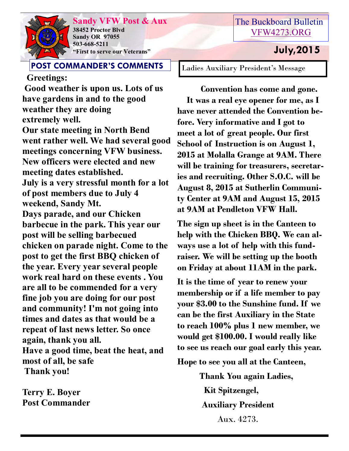

**Sandy VFW Post & Aux 38452 Proctor Blvd Sandy OR 97055 503-668-5211 "First to serve our Veterans" July,2015** 

### **POST COMMANDER'S COMMENTS**

 **Greetings: Good weather is upon us. Lots of us have gardens in and to the good weather they are doing extremely well. Our state meeting in North Bend went rather well. We had several good meetings concerning VFW business. New officers were elected and new meeting dates established. July is a very stressful month for a lot of post members due to July 4 weekend, Sandy Mt. Days parade, and our Chicken barbecue in the park. This year our post will be selling barbecued chicken on parade night. Come to the post to get the first BBQ chicken of the year. Every year several people work real hard on these events . You are all to be commended for a very fine job you are doing for our post and community! I'm not going into times and dates as that would be a repeat of last news letter. So once again, thank you all. Have a good time, beat the heat, and most of all, be safe Thank you!**

**Terry E. Boyer Post Commander**

## The Buckboard Bulletin [VFW4273.ORG](http://vfw4273.org/)

Ladies Auxiliary President's Message

 **Convention has come and gone. It was a real eye opener for me, as I have never attended the Convention before. Very informative and I got to meet a lot of great people. Our first School of Instruction is on August 1, 2015 at Molalla Grange at 9AM. There will be training for treasurers, secretaries and recruiting. Other S.O.C. will be August 8, 2015 at Sutherlin Community Center at 9AM and August 15, 2015 at 9AM at Pendleton VFW Hall.**

**The sign up sheet is in the Canteen to help with the Chicken BBQ. We can always use a lot of help with this fundraiser. We will be setting up the booth on Friday at about 11AM in the park.**

**It is the time of year to renew your membership or if a life member to pay your \$3.00 to the Sunshine fund. If we can be the first Auxiliary in the State to reach 100% plus 1 new member, we would get \$100.00. I would really like to see us reach our goal early this year.**

**Hope to see you all at the Canteen,**

 **Thank You again Ladies, Kit Spitzengel, Auxiliary President**  Aux. 4273.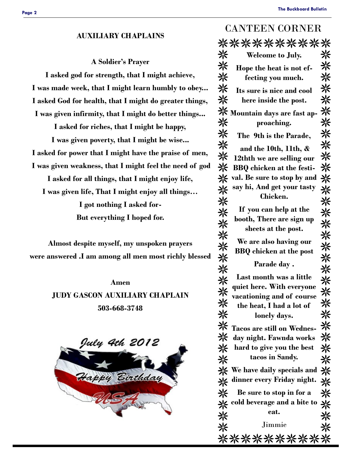#### **The Buckboard Bulletin**

#### CANTEEN CORNER **AUXILIARY CHAPLAINS**

### **A Soldier's Prayer**

**I asked god for strength, that I might achieve, I was made week, that I might learn humbly to obey... I asked God for health, that I might do greater things, I was given infirmity, that I might do better things...**

**I asked for riches, that I might be happy,**

**I was given poverty, that I might be wise... I asked for power that I might have the praise of men, I was given weakness, that I might feel the need of god I asked for all things, that I might enjoy life, I was given life, That I might enjoy all things… I got nothing I asked for-But everything I hoped for.**

**Almost despite myself, my unspoken prayers were answered .I am among all men most richly blessed**

# **Amen JUDY GASCON AUXILIARY CHAPLAIN 503-668-3748**



|   | **********                                                            |        |
|---|-----------------------------------------------------------------------|--------|
| 米 | <b>Welcome to July.</b>                                               | ⋇      |
| ☀ | Hope the heat is not ef-                                              | ⋇      |
| 米 | fecting you much.                                                     | 米      |
| 米 | Its sure is nice and cool                                             | 米      |
| 兴 | here inside the post.                                                 | 米      |
| ⋇ | Mountain days are fast ap-                                            | 兴      |
| 兴 | proaching.                                                            | 米      |
| 米 | The 9th is the Parade,                                                | 米      |
| 米 | and the 10th, 11th, &                                                 | 米      |
| 米 | 12thth we are selling our                                             | 米      |
| 米 | <b>BBQ</b> chicken at the festi-                                      | 米      |
| 兴 | val. Be sure to stop by and                                           | 米      |
| 米 | say hi, And get your tasty<br>Chicken.                                | 米      |
| 米 |                                                                       | 米      |
| 兴 | If you can help at the<br>booth, There are sign up                    | 兴      |
| 米 | sheets at the post.                                                   | 米      |
| 米 | We are also having our                                                | 米      |
| 米 | <b>BBQ</b> chicken at the post                                        | 米      |
| 兴 | Parade day.                                                           | 米      |
| 兴 | Last month was a little                                               | 兴      |
| ☀ | quiet here. With everyone                                             | 米      |
| 米 | vacationing and of course                                             | 米      |
| ☀ | the heat, I had a lot of                                              | 米      |
| 米 | lonely days.                                                          | 米      |
| 米 | <b>Tacos are still on Wednes-</b>                                     | ☀      |
|   | <b>※</b> day night. Fawnda works                                      | 米<br>米 |
| 兴 | * hard to give you the best<br>tacos in Sandy.                        | 米      |
|   | <b>*</b> We have daily specials and *                                 |        |
|   | dinner every Friday night.                                            | 米      |
| 米 | Be sure to stop in for a                                              | 米      |
|   | $\frac{1}{\sqrt{2}}$ cold beverage and a bite to $\frac{1}{\sqrt{2}}$ |        |
| ☀ | eat.                                                                  | ☀      |
| 兴 | Jimmie                                                                | ☀      |
|   | **********                                                            |        |
|   |                                                                       |        |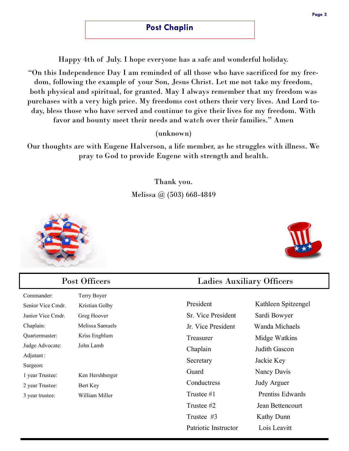Happy 4th of July. I hope everyone has a safe and wonderful holiday.

"On this Independence Day I am reminded of all those who have sacrificed for my freedom, following the example of your Son, Jesus Christ. Let me not take my freedom, both physical and spiritual, for granted. May I always remember that my freedom was purchases with a very high price. My freedoms cost others their very lives. And Lord today, bless those who have served and continue to give their lives for my freedom. With favor and bounty meet their needs and watch over their families." Amen

(unknown)

Our thoughts are with Eugene Halverson, a life member, as he struggles with illness. We pray to God to provide Eugene with strength and health.

> Thank you. Melissa @ (503) 668-4849





| Post Officers                      |                 | <b>Ladies Auxiliary Officers</b> |                         |
|------------------------------------|-----------------|----------------------------------|-------------------------|
| Commander:                         | Terry Boyer     |                                  |                         |
| Senior Vice Cmdr.                  | Kristian Golby  | President                        | Kathleen Spitzengel     |
| Junior Vice Cmdr.                  | Greg Hoover     | Sr. Vice President               | Sardi Bowyer            |
| Chaplain:                          | Melissa Samuels | Jr. Vice President               | Wanda Michaels          |
| Quartermaster:                     | Kriss Engblum   | Treasurer                        | Midge Watkins           |
| Judge Advocate:                    | John Lamb       | Chaplain                         | Judith Gascon           |
| Adjutant:                          |                 | Secretary                        | Jackie Key              |
| Surgeon:                           |                 | Guard                            | Nancy Davis             |
| Ken Hershberger<br>1 year Trustee: |                 |                                  |                         |
| 2 year Trustee:                    | Bert Key        | Conductress                      | <b>Judy Arguer</b>      |
| 3 year trustee:                    | William Miller  | Trustee #1                       | <b>Prentiss Edwards</b> |
|                                    |                 | Trustee #2                       | Jean Bettencourt        |
|                                    |                 | Trustee #3                       | Kathy Dunn              |
|                                    |                 | Patriotic Instructor             | Lois Leavitt            |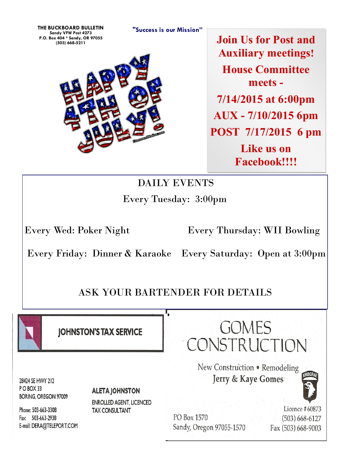**"Success is our Mission" THE BUCKBOARD BULLETIN Sandy VFW Post 4273 P.O. Box 404 \* Sandy, OR 97055**



**(503) 668-5211 Join Us for Post and Auxiliary meetings! House Committee meets - 7/14/2015 at 6:00pm AUX - 7/10/2015 6pm POST 7/17/2015 6 pm Like us on Facebook!!!!**

# DAILY EVENTS Every Tuesday: 3:00pm

Every Wed: Poker Night Every Thursday: WII Bowling

Every Friday: Dinner & Karaoke Every Saturday: Open at 3:00pm

# ASK YOUR BARTENDER FOR DETAILS



**IOHNSTON'S TAX SERVICE** 

28424 SE HWY 212 POBOX 33 **BORING, OREGON 97009** 

**ALETA JOHNSTON** 

**ENROLLED AGENT, LICENCED TAX CONSULTANT** 

Phone: 503-663-3308 Fax: 503-663-2938 E-mail: DERA@TELEPORT.COM

PO Box 1570 Sandy, Oregon 97055-1570

Licence #60873  $(503) 668 - 6127$ Fax (503) 668-9003

GOMES CONSTRUCTION

New Construction . Remodeling Jerry & Kaye Gomes

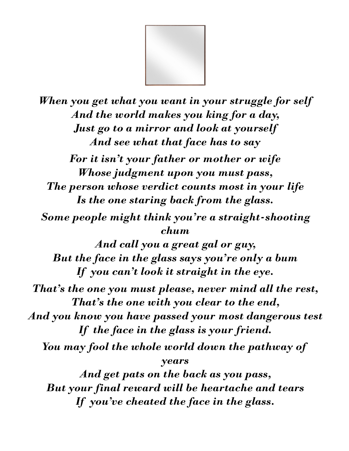

*When you get what you want in your struggle for self And the world makes you king for a day, Just go to a mirror and look at yourself And see what that face has to say For it isn't your father or mother or wife Whose judgment upon you must pass, The person whose verdict counts most in your life Is the one staring back from the glass. Some people might think you're a straight-shooting chum And call you a great gal or guy, But the face in the glass says you're only a bum If you can't look it straight in the eye. That's the one you must please, never mind all the rest, That's the one with you clear to the end, And you know you have passed your most dangerous test If the face in the glass is your friend. You may fool the whole world down the pathway of years And get pats on the back as you pass, But your final reward will be heartache and tears If you've cheated the face in the glass.*